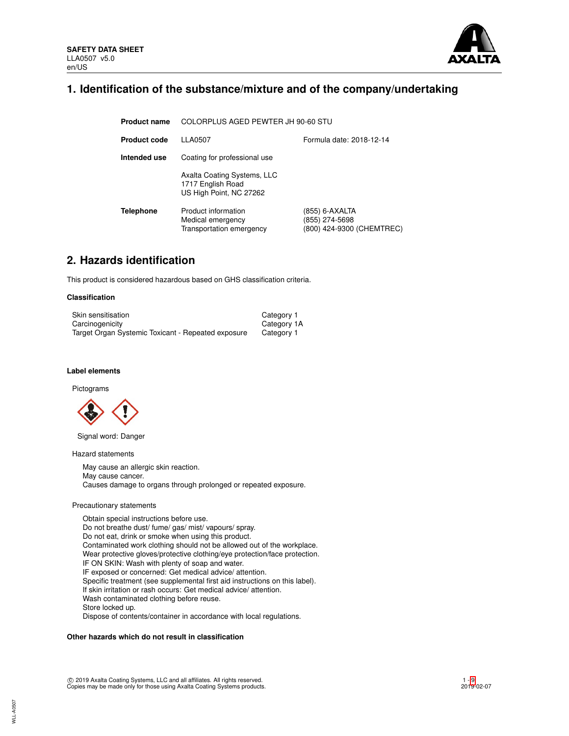

## **1. Identification of the substance/mixture and of the company/undertaking**

| <b>Product name</b> | COLORPLUS AGED PEWTER JH 90-60 STU                                          |                                                               |  |  |  |
|---------------------|-----------------------------------------------------------------------------|---------------------------------------------------------------|--|--|--|
| Product code        | LLA0507<br>Formula date: 2018-12-14                                         |                                                               |  |  |  |
| Intended use        | Coating for professional use                                                |                                                               |  |  |  |
|                     | Axalta Coating Systems, LLC<br>1717 English Road<br>US High Point, NC 27262 |                                                               |  |  |  |
| <b>Telephone</b>    | Product information<br>Medical emergency<br>Transportation emergency        | (855) 6-AXALTA<br>(855) 274-5698<br>(800) 424-9300 (CHEMTREC) |  |  |  |

# **2. Hazards identification**

This product is considered hazardous based on GHS classification criteria.

#### **Classification**

| Skin sensitisation                                 | Category 1  |
|----------------------------------------------------|-------------|
| Carcinogenicity                                    | Category 1A |
| Target Organ Systemic Toxicant - Repeated exposure | Category 1  |

## **Label elements**

#### Pictograms



Signal word: Danger

## Hazard statements

May cause an allergic skin reaction. May cause cancer. Causes damage to organs through prolonged or repeated exposure.

#### Precautionary statements

Obtain special instructions before use. Do not breathe dust/ fume/ gas/ mist/ vapours/ spray. Do not eat, drink or smoke when using this product. Contaminated work clothing should not be allowed out of the workplace. Wear protective gloves/protective clothing/eye protection/face protection. IF ON SKIN: Wash with plenty of soap and water. IF exposed or concerned: Get medical advice/ attention. Specific treatment (see supplemental first aid instructions on this label). If skin irritation or rash occurs: Get medical advice/ attention. Wash contaminated clothing before reuse. Store locked up. Dispose of contents/container in accordance with local regulations.

#### **Other hazards which do not result in classification**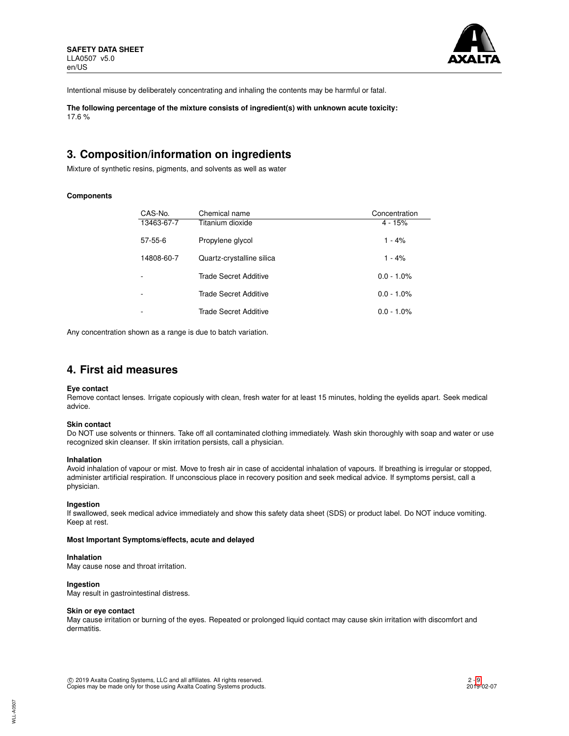

Intentional misuse by deliberately concentrating and inhaling the contents may be harmful or fatal.

**The following percentage of the mixture consists of ingredient(s) with unknown acute toxicity:** 17.6 %

# **3. Composition/information on ingredients**

Mixture of synthetic resins, pigments, and solvents as well as water

## **Components**

| CAS-No.       | Chemical name             | Concentration |
|---------------|---------------------------|---------------|
| 13463-67-7    | Titanium dioxide          | $4 - 15%$     |
| $57 - 55 - 6$ | Propylene glycol          | $1 - 4%$      |
| 14808-60-7    | Quartz-crystalline silica | $1 - 4%$      |
|               | Trade Secret Additive     | $0.0 - 1.0\%$ |
|               | Trade Secret Additive     | $0.0 - 1.0\%$ |
|               | Trade Secret Additive     | $0.0 - 1.0\%$ |

Any concentration shown as a range is due to batch variation.

## **4. First aid measures**

#### **Eye contact**

Remove contact lenses. Irrigate copiously with clean, fresh water for at least 15 minutes, holding the eyelids apart. Seek medical advice.

### **Skin contact**

Do NOT use solvents or thinners. Take off all contaminated clothing immediately. Wash skin thoroughly with soap and water or use recognized skin cleanser. If skin irritation persists, call a physician.

#### **Inhalation**

Avoid inhalation of vapour or mist. Move to fresh air in case of accidental inhalation of vapours. If breathing is irregular or stopped, administer artificial respiration. If unconscious place in recovery position and seek medical advice. If symptoms persist, call a physician.

## **Ingestion**

If swallowed, seek medical advice immediately and show this safety data sheet (SDS) or product label. Do NOT induce vomiting. Keep at rest.

#### **Most Important Symptoms/effects, acute and delayed**

## **Inhalation**

May cause nose and throat irritation.

## **Ingestion**

May result in gastrointestinal distress.

### **Skin or eye contact**

May cause irritation or burning of the eyes. Repeated or prolonged liquid contact may cause skin irritation with discomfort and dermatitis.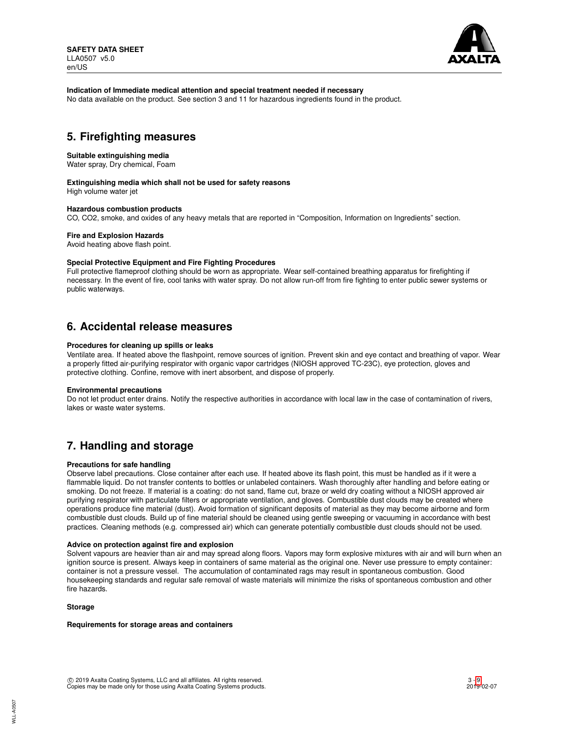

### **Indication of Immediate medical attention and special treatment needed if necessary**

No data available on the product. See section 3 and 11 for hazardous ingredients found in the product.

## **5. Firefighting measures**

#### **Suitable extinguishing media**

Water spray, Dry chemical, Foam

### **Extinguishing media which shall not be used for safety reasons**

High volume water jet

## **Hazardous combustion products**

CO, CO2, smoke, and oxides of any heavy metals that are reported in "Composition, Information on Ingredients" section.

#### **Fire and Explosion Hazards**

Avoid heating above flash point.

#### **Special Protective Equipment and Fire Fighting Procedures**

Full protective flameproof clothing should be worn as appropriate. Wear self-contained breathing apparatus for firefighting if necessary. In the event of fire, cool tanks with water spray. Do not allow run-off from fire fighting to enter public sewer systems or public waterways.

## **6. Accidental release measures**

#### **Procedures for cleaning up spills or leaks**

Ventilate area. If heated above the flashpoint, remove sources of ignition. Prevent skin and eye contact and breathing of vapor. Wear a properly fitted air-purifying respirator with organic vapor cartridges (NIOSH approved TC-23C), eye protection, gloves and protective clothing. Confine, remove with inert absorbent, and dispose of properly.

#### **Environmental precautions**

Do not let product enter drains. Notify the respective authorities in accordance with local law in the case of contamination of rivers, lakes or waste water systems.

# **7. Handling and storage**

#### **Precautions for safe handling**

Observe label precautions. Close container after each use. If heated above its flash point, this must be handled as if it were a flammable liquid. Do not transfer contents to bottles or unlabeled containers. Wash thoroughly after handling and before eating or smoking. Do not freeze. If material is a coating: do not sand, flame cut, braze or weld dry coating without a NIOSH approved air purifying respirator with particulate filters or appropriate ventilation, and gloves. Combustible dust clouds may be created where operations produce fine material (dust). Avoid formation of significant deposits of material as they may become airborne and form combustible dust clouds. Build up of fine material should be cleaned using gentle sweeping or vacuuming in accordance with best practices. Cleaning methods (e.g. compressed air) which can generate potentially combustible dust clouds should not be used.

#### **Advice on protection against fire and explosion**

Solvent vapours are heavier than air and may spread along floors. Vapors may form explosive mixtures with air and will burn when an ignition source is present. Always keep in containers of same material as the original one. Never use pressure to empty container: container is not a pressure vessel. The accumulation of contaminated rags may result in spontaneous combustion. Good housekeeping standards and regular safe removal of waste materials will minimize the risks of spontaneous combustion and other fire hazards.

#### **Storage**

#### **Requirements for storage areas and containers**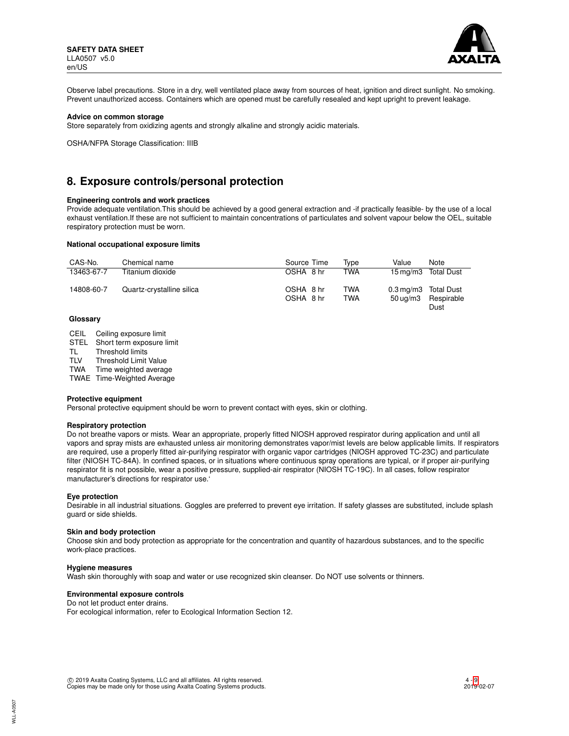

Observe label precautions. Store in a dry, well ventilated place away from sources of heat, ignition and direct sunlight. No smoking. Prevent unauthorized access. Containers which are opened must be carefully resealed and kept upright to prevent leakage.

#### **Advice on common storage**

Store separately from oxidizing agents and strongly alkaline and strongly acidic materials.

OSHA/NFPA Storage Classification: IIIB

## **8. Exposure controls/personal protection**

#### **Engineering controls and work practices**

Provide adequate ventilation.This should be achieved by a good general extraction and -if practically feasible- by the use of a local exhaust ventilation.If these are not sufficient to maintain concentrations of particulates and solvent vapour below the OEL, suitable respiratory protection must be worn.

#### **National occupational exposure limits**

| CAS-No.    | Chemical name             | Source Time            | Tvpe                     | Value                                 | <b>Note</b>        |
|------------|---------------------------|------------------------|--------------------------|---------------------------------------|--------------------|
| 13463-67-7 | Titanium dioxide          | OSHA 8 hr              | <b>TWA</b>               | $15 \,\mathrm{ma}/\mathrm{m}$         | <b>Total Dust</b>  |
| 14808-60-7 | Quartz-crystalline silica | OSHA 8 hr<br>OSHA 8 hr | <b>TWA</b><br><b>TWA</b> | 0.3 mg/m3 Total Dust<br>$50 \mu q/m3$ | Respirable<br>Dust |

#### **Glossary**

CEIL Ceiling exposure limit

STEL Short term exposure limit<br>TL Threshold limits

Threshold limits

TLV Threshold Limit Value

TWA Time weighted average

TWAE Time-Weighted Average

#### **Protective equipment**

Personal protective equipment should be worn to prevent contact with eyes, skin or clothing.

## **Respiratory protection**

Do not breathe vapors or mists. Wear an appropriate, properly fitted NIOSH approved respirator during application and until all vapors and spray mists are exhausted unless air monitoring demonstrates vapor/mist levels are below applicable limits. If respirators are required, use a properly fitted air-purifying respirator with organic vapor cartridges (NIOSH approved TC-23C) and particulate filter (NIOSH TC-84A). In confined spaces, or in situations where continuous spray operations are typical, or if proper air-purifying respirator fit is not possible, wear a positive pressure, supplied-air respirator (NIOSH TC-19C). In all cases, follow respirator manufacturer's directions for respirator use.'

#### **Eye protection**

Desirable in all industrial situations. Goggles are preferred to prevent eye irritation. If safety glasses are substituted, include splash guard or side shields.

#### **Skin and body protection**

Choose skin and body protection as appropriate for the concentration and quantity of hazardous substances, and to the specific work-place practices.

#### **Hygiene measures**

Wash skin thoroughly with soap and water or use recognized skin cleanser. Do NOT use solvents or thinners.

### **Environmental exposure controls**

Do not let product enter drains. For ecological information, refer to Ecological Information Section 12.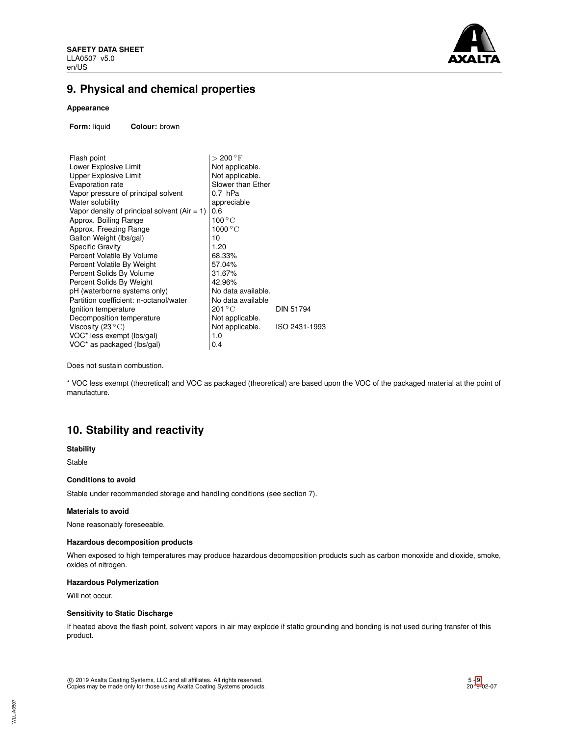

# **9. Physical and chemical properties**

## **Appearance**

**Form:** liquid **Colour:** brown

| $>$ 200 $^{\circ}$ F      |                  |
|---------------------------|------------------|
| Not applicable.           |                  |
| Not applicable.           |                  |
| Slower than Ether         |                  |
| $0.7$ hPa                 |                  |
| appreciable               |                  |
| 0.6                       |                  |
| $100\,^{\circ}\mathrm{C}$ |                  |
| 1000 $^{\circ}$ C         |                  |
| 10                        |                  |
| 1.20                      |                  |
| 68.33%                    |                  |
| 57.04%                    |                  |
| 31.67%                    |                  |
| 42.96%                    |                  |
| No data available.        |                  |
| No data available         |                  |
| 201 ° C                   | <b>DIN 51794</b> |
| Not applicable.           |                  |
| Not applicable.           | ISO 2431-1993    |
| 1.0                       |                  |
| 0.4                       |                  |
|                           |                  |

Does not sustain combustion.

\* VOC less exempt (theoretical) and VOC as packaged (theoretical) are based upon the VOC of the packaged material at the point of manufacture.

# **10. Stability and reactivity**

#### **Stability**

Stable

## **Conditions to avoid**

Stable under recommended storage and handling conditions (see section 7).

#### **Materials to avoid**

None reasonably foreseeable.

## **Hazardous decomposition products**

When exposed to high temperatures may produce hazardous decomposition products such as carbon monoxide and dioxide, smoke, oxides of nitrogen.

## **Hazardous Polymerization**

Will not occur.

## **Sensitivity to Static Discharge**

If heated above the flash point, solvent vapors in air may explode if static grounding and bonding is not used during transfer of this product.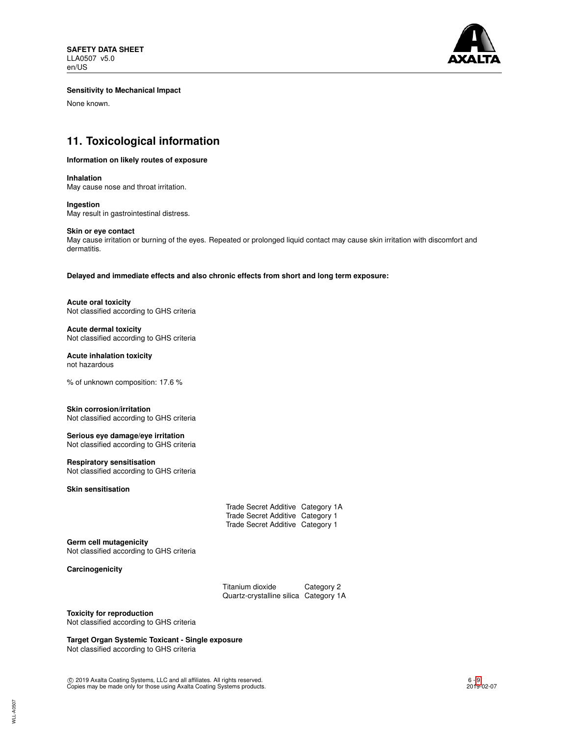

### **Sensitivity to Mechanical Impact**

None known.

# **11. Toxicological information**

#### **Information on likely routes of exposure**

**Inhalation** May cause nose and throat irritation.

**Ingestion** May result in gastrointestinal distress.

#### **Skin or eye contact**

May cause irritation or burning of the eyes. Repeated or prolonged liquid contact may cause skin irritation with discomfort and dermatitis.

**Delayed and immediate effects and also chronic effects from short and long term exposure:**

**Acute oral toxicity** Not classified according to GHS criteria

**Acute dermal toxicity** Not classified according to GHS criteria

## **Acute inhalation toxicity**

not hazardous

% of unknown composition: 17.6 %

## **Skin corrosion/irritation**

Not classified according to GHS criteria

### **Serious eye damage/eye irritation** Not classified according to GHS criteria

### **Respiratory sensitisation**

Not classified according to GHS criteria

## **Skin sensitisation**

| Trade Secret Additive Category 1A |  |
|-----------------------------------|--|
| Trade Secret Additive Category 1  |  |
| Trade Secret Additive Category 1  |  |

#### **Germ cell mutagenicity**

Not classified according to GHS criteria

**Carcinogenicity**

Titanium dioxide Category 2 Quartz-crystalline silica Category 1A

## **Toxicity for reproduction**

Not classified according to GHS criteria

## **Target Organ Systemic Toxicant - Single exposure**

Not classified according to GHS criteria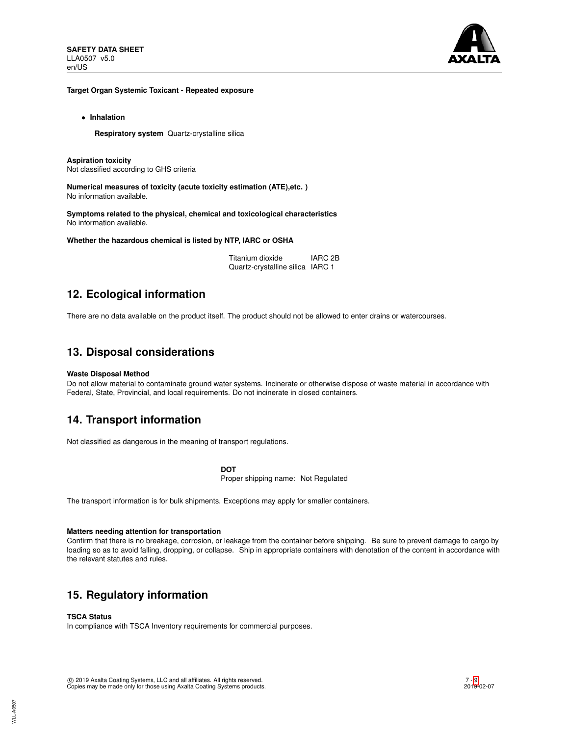

#### **Target Organ Systemic Toxicant - Repeated exposure**

• **Inhalation**

**Respiratory system** Quartz-crystalline silica

**Aspiration toxicity** Not classified according to GHS criteria

**Numerical measures of toxicity (acute toxicity estimation (ATE),etc. )** No information available.

**Symptoms related to the physical, chemical and toxicological characteristics** No information available.

**Whether the hazardous chemical is listed by NTP, IARC or OSHA**

| Titanium dioxide                 | <b>IARC 2B</b> |
|----------------------------------|----------------|
| Quartz-crystalline silica IARC 1 |                |

# **12. Ecological information**

There are no data available on the product itself. The product should not be allowed to enter drains or watercourses.

## **13. Disposal considerations**

## **Waste Disposal Method**

Do not allow material to contaminate ground water systems. Incinerate or otherwise dispose of waste material in accordance with Federal, State, Provincial, and local requirements. Do not incinerate in closed containers.

## **14. Transport information**

Not classified as dangerous in the meaning of transport regulations.

**DOT**

Proper shipping name: Not Regulated

The transport information is for bulk shipments. Exceptions may apply for smaller containers.

## **Matters needing attention for transportation**

Confirm that there is no breakage, corrosion, or leakage from the container before shipping. Be sure to prevent damage to cargo by loading so as to avoid falling, dropping, or collapse. Ship in appropriate containers with denotation of the content in accordance with the relevant statutes and rules.

# **15. Regulatory information**

## **TSCA Status**

In compliance with TSCA Inventory requirements for commercial purposes.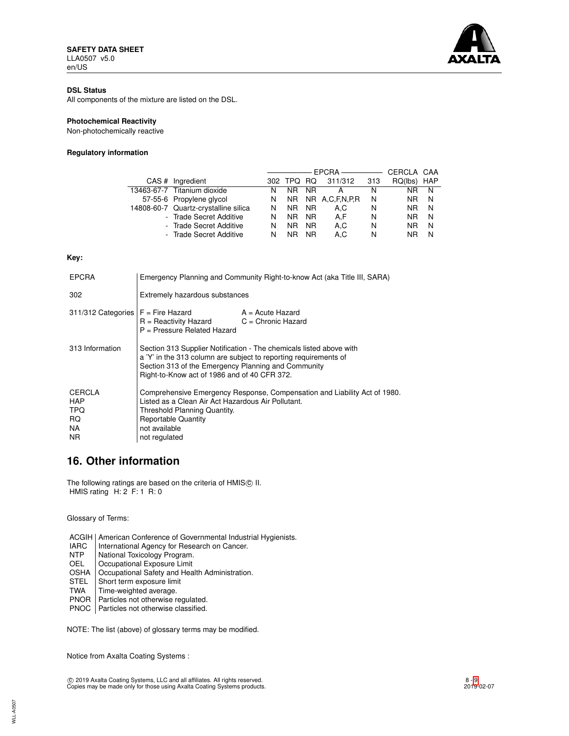

## **DSL Status**

All components of the mixture are listed on the DSL.

## **Photochemical Reactivity**

Non-photochemically reactive

## **Regulatory information**

|                                      |   |         |           | EPCRA —————       |     | CERCLA CAA |     |
|--------------------------------------|---|---------|-----------|-------------------|-----|------------|-----|
| CAS # Ingredient                     |   | 302 TPQ | RQ.       | 311/312           | 313 | RQ(lbs)    | HAP |
| 13463-67-7 Titanium dioxide          | N | NR.     | NR.       | А                 | N   | NR.        | N   |
| 57-55-6 Propylene glycol             | N |         |           | NR NR A,C,F,N,P,R | N   | NR.        | N   |
| 14808-60-7 Quartz-crystalline silica | N | NR.     | <b>NR</b> | A.C               | N   | NR.        | N   |
| - Trade Secret Additive              | N | NR.     | NR.       | A.F               | N   | NR.        | N   |
| - Trade Secret Additive              | N | ΝR      | <b>NR</b> | A.C               | N   | <b>NR</b>  | N   |
| - Trade Secret Additive              | N | ΝR      | <b>NR</b> | A.C               | N   | NR         | N   |

#### **Key:**

| <b>EPCRA</b>                                                         | Emergency Planning and Community Right-to-know Act (aka Title III, SARA)                                                                                                                                                                       |                    |  |
|----------------------------------------------------------------------|------------------------------------------------------------------------------------------------------------------------------------------------------------------------------------------------------------------------------------------------|--------------------|--|
| 302                                                                  | Extremely hazardous substances                                                                                                                                                                                                                 |                    |  |
| $311/312$ Categories $F =$ Fire Hazard                               | $R =$ Reactivity Hazard $C =$ Chronic Hazard<br>P = Pressure Related Hazard                                                                                                                                                                    | $A = Acute$ Hazard |  |
| 313 Information                                                      | Section 313 Supplier Notification - The chemicals listed above with<br>a 'Y' in the 313 column are subject to reporting requirements of<br>Section 313 of the Emergency Planning and Community<br>Right-to-Know act of 1986 and of 40 CFR 372. |                    |  |
| <b>CERCLA</b><br><b>HAP</b><br><b>TPQ</b><br>RQ.<br>NA.<br><b>NR</b> | Comprehensive Emergency Response, Compensation and Liability Act of 1980.<br>Listed as a Clean Air Act Hazardous Air Pollutant.<br>Threshold Planning Quantity.<br><b>Reportable Quantity</b><br>not available<br>not regulated                |                    |  |

## **16. Other information**

The following ratings are based on the criteria of HMISC II. HMIS rating H: 2 F: 1 R: 0

Glossary of Terms:

ACGIH | American Conference of Governmental Industrial Hygienists.<br>
IARC | International Agency for Research on Cancer. IARC | International Agency for Research on Cancer.<br>NTP | National Toxicology Program. National Toxicology Program. OEL Occupational Exposure Limit OSHA Occupational Safety and Health Administration.<br>STEL Short term exposure limit

- Short term exposure limit
- TWA | Time-weighted average.
- PNOR | Particles not otherwise regulated.
- PNOC | Particles not otherwise classified.
- 

NOTE: The list (above) of glossary terms may be modified.

Notice from Axalta Coating Systems :